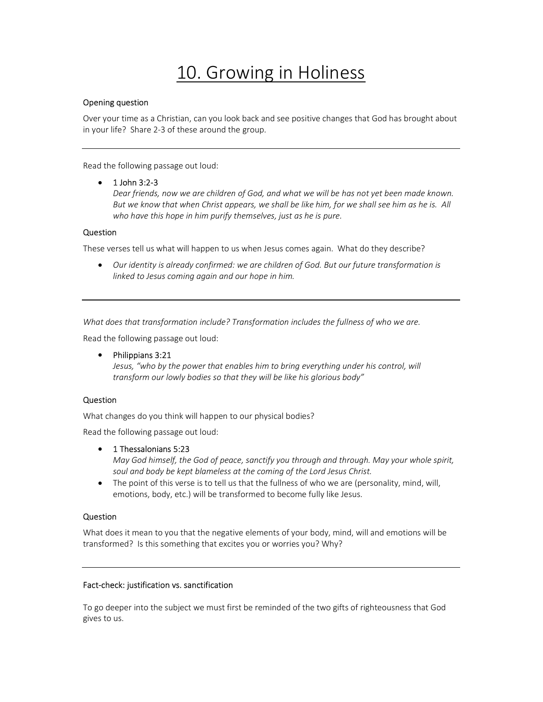# 10. Growing in Holiness

# Opening question

Over your time as a Christian, can you look back and see positive changes that God has brought about in your life? Share 2-3 of these around the group.

Read the following passage out loud:

# $\bullet$  1 John 3:2-3

Dear friends, now we are children of God, and what we will be has not yet been made known. But we know that when Christ appears, we shall be like him, for we shall see him as he is. All who have this hope in him purify themselves, just as he is pure.

# Question

These verses tell us what will happen to us when Jesus comes again. What do they describe?

 Our identity is already confirmed: we are children of God. But our future transformation is linked to Jesus coming again and our hope in him.

What does that transformation include? Transformation includes the fullness of who we are.

Read the following passage out loud:

• Philippians 3:21

Jesus, "who by the power that enables him to bring everything under his control, will transform our lowly bodies so that they will be like his glorious body"

# Question

What changes do you think will happen to our physical bodies?

Read the following passage out loud:

#### • 1 Thessalonians 5:23

May God himself, the God of peace, sanctify you through and through. May your whole spirit, soul and body be kept blameless at the coming of the Lord Jesus Christ.

• The point of this verse is to tell us that the fullness of who we are (personality, mind, will, emotions, body, etc.) will be transformed to become fully like Jesus.

#### Question

What does it mean to you that the negative elements of your body, mind, will and emotions will be transformed? Is this something that excites you or worries you? Why?

#### Fact-check: justification vs. sanctification

To go deeper into the subject we must first be reminded of the two gifts of righteousness that God gives to us.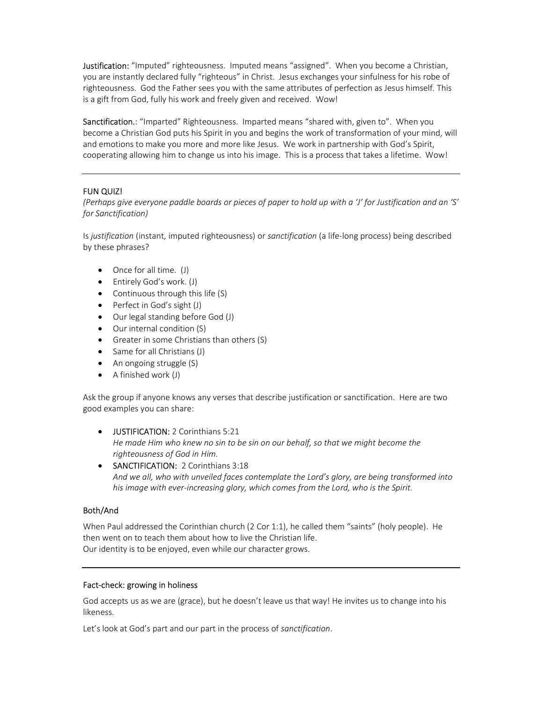**Justification:** "Imputed" righteousness. Imputed means "assigned". When you become a Christian, you are instantly declared fully "righteous" in Christ. Jesus exchanges your sinfulness for his robe of righteousness. God the Father sees you with the same attributes of perfection as Jesus himself. This is a gift from God, fully his work and freely given and received. Wow!

Sanctification.: "Imparted" Righteousness. Imparted means "shared with, given to". When you become a Christian God puts his Spirit in you and begins the work of transformation of your mind, will and emotions to make you more and more like Jesus. We work in partnership with God's Spirit, cooperating allowing him to change us into his image. This is a process that takes a lifetime. Wow!

# FUN QUIZ!

(Perhaps give everyone paddle boards or pieces of paper to hold up with a 'J' for Justification and an 'S' for Sanctification)

Is justification (instant, imputed righteousness) or sanctification (a life-long process) being described by these phrases?

- Once for all time. (J)
- Entirely God's work. (J)
- Continuous through this life (S)
- Perfect in God's sight (J)
- Our legal standing before God (J)
- Our internal condition (S)
- Greater in some Christians than others (S)
- Same for all Christians (J)
- An ongoing struggle (S)
- A finished work (J)

Ask the group if anyone knows any verses that describe justification or sanctification. Here are two good examples you can share:

- USTIFICATION: 2 Corinthians 5:21 He made Him who knew no sin to be sin on our behalf, so that we might become the righteousness of God in Him.
- SANCTIFICATION: 2 Corinthians 3:18 And we all, who with unveiled faces contemplate the Lord's glory, are being transformed into his image with ever-increasing glory, which comes from the Lord, who is the Spirit.

#### Both/And

When Paul addressed the Corinthian church (2 Cor 1:1), he called them "saints" (holy people). He then went on to teach them about how to live the Christian life. Our identity is to be enjoyed, even while our character grows.

#### Fact-check: growing in holiness

God accepts us as we are (grace), but he doesn't leave us that way! He invites us to change into his likeness.

Let's look at God's part and our part in the process of sanctification.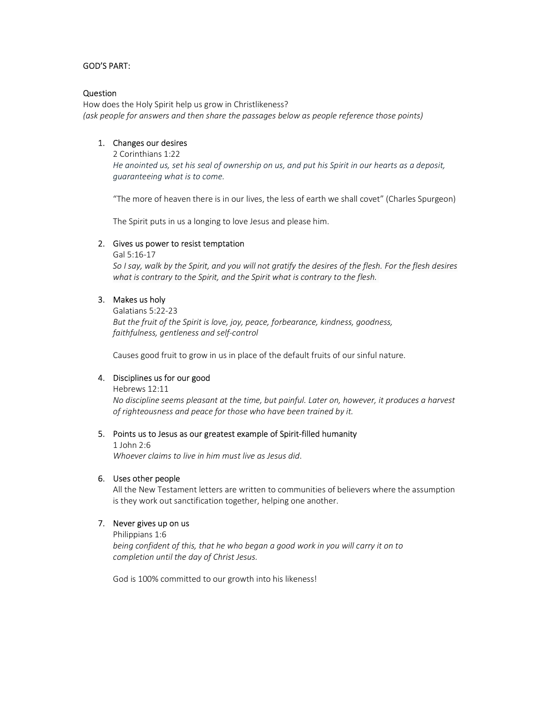# GOD'S PART:

#### Question

How does the Holy Spirit help us grow in Christlikeness? (ask people for answers and then share the passages below as people reference those points)

## 1. Changes our desires

2 Corinthians 1:22

He anointed us, set his seal of ownership on us, and put his Spirit in our hearts as a deposit, guaranteeing what is to come.

"The more of heaven there is in our lives, the less of earth we shall covet" (Charles Spurgeon)

The Spirit puts in us a longing to love Jesus and please him.

#### 2. Gives us power to resist temptation

Gal 5:16-17

So I say, walk by the Spirit, and you will not gratify the desires of the flesh. For the flesh desires what is contrary to the Spirit, and the Spirit what is contrary to the flesh.

#### 3. Makes us holy

Galatians 5:22-23 But the fruit of the Spirit is love, joy, peace, forbearance, kindness, goodness, faithfulness, gentleness and self-control

Causes good fruit to grow in us in place of the default fruits of our sinful nature.

#### 4. Disciplines us for our good

Hebrews 12:11

No discipline seems pleasant at the time, but painful. Later on, however, it produces a harvest of righteousness and peace for those who have been trained by it.

#### 5. Points us to Jesus as our greatest example of Spirit-filled humanity

1 John 2:6 Whoever claims to live in him must live as Jesus did.

#### 6. Uses other people

All the New Testament letters are written to communities of believers where the assumption is they work out sanctification together, helping one another.

#### 7. Never gives up on us

Philippians 1:6

being confident of this, that he who began a good work in you will carry it on to completion until the day of Christ Jesus.

God is 100% committed to our growth into his likeness!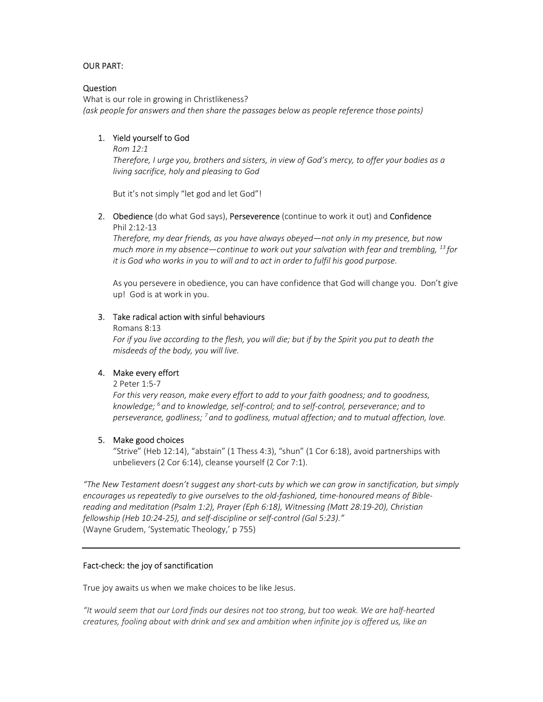# OUR PART:

## Question

What is our role in growing in Christlikeness? (ask people for answers and then share the passages below as people reference those points)

# 1. Yield yourself to God

#### Rom 12:1

Therefore, I urge you, brothers and sisters, in view of God's mercy, to offer your bodies as a living sacrifice, holy and pleasing to God

But it's not simply "let god and let God"!

2. Obedience (do what God says), Perseverence (continue to work it out) and Confidence Phil 2:12-13

Therefore, my dear friends, as you have always obeyed—not only in my presence, but now much more in my absence—continue to work out your salvation with fear and trembling,  $^{13}$  for it is God who works in you to will and to act in order to fulfil his good purpose.

As you persevere in obedience, you can have confidence that God will change you. Don't give up! God is at work in you.

#### 3. Take radical action with sinful behaviours

#### Romans 8:13

For if you live according to the flesh, you will die; but if by the Spirit you put to death the misdeeds of the body, you will live.

#### 4. Make every effort

2 Peter 1:5-7

For this very reason, make every effort to add to your faith goodness; and to goodness, knowledge;  $^6$  and to knowledge, self-control; and to self-control, perseverance; and to perseverance, godliness;  $^7$  and to godliness, mutual affection; and to mutual affection, love.

#### 5. Make good choices

"Strive" (Heb 12:14), "abstain" (1 Thess 4:3), "shun" (1 Cor 6:18), avoid partnerships with unbelievers (2 Cor 6:14), cleanse yourself (2 Cor 7:1).

"The New Testament doesn't suggest any short-cuts by which we can grow in sanctification, but simply encourages us repeatedly to give ourselves to the old-fashioned, time-honoured means of Biblereading and meditation (Psalm 1:2), Prayer (Eph 6:18), Witnessing (Matt 28:19-20), Christian fellowship (Heb 10:24-25), and self-discipline or self-control (Gal 5:23)." (Wayne Grudem, 'Systematic Theology,' p 755)

#### Fact-check: the joy of sanctification

True joy awaits us when we make choices to be like Jesus.

"It would seem that our Lord finds our desires not too strong, but too weak. We are half-hearted creatures, fooling about with drink and sex and ambition when infinite joy is offered us, like an